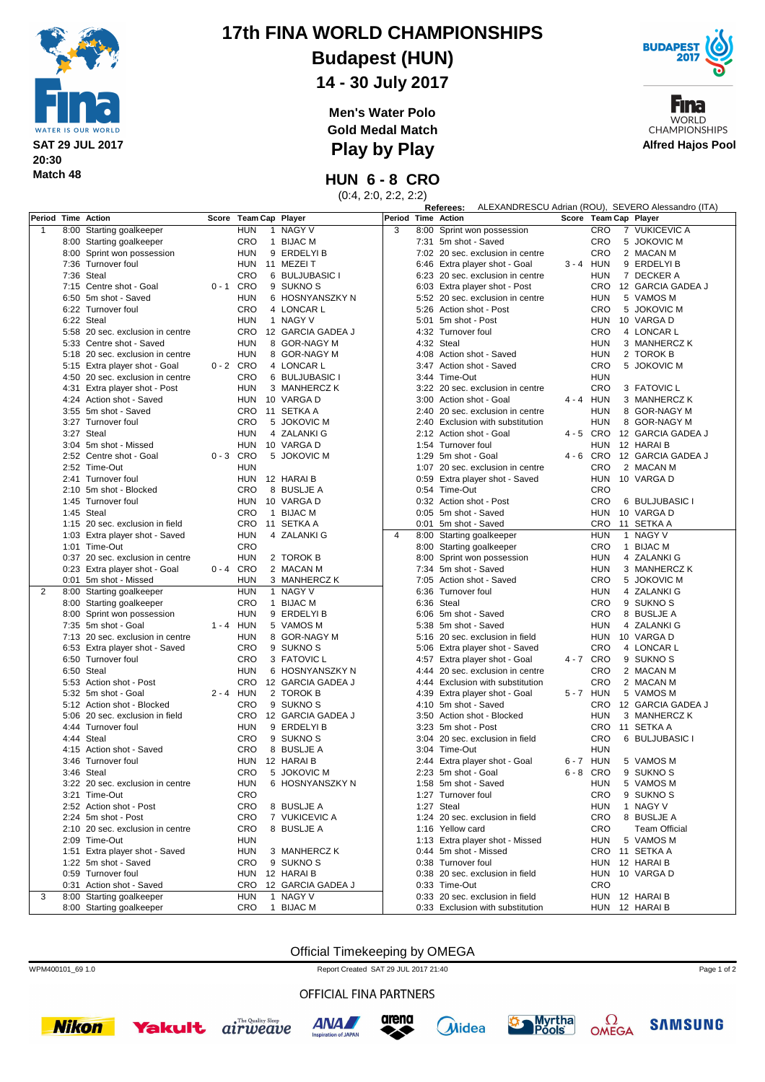

## **17th FINA WORLD CHAMPIONSHIPS**

**Budapest (HUN)**

**14 - 30 July 2017**

**Men's Water Polo Gold Medal Match**

**Play by Play**



Fina **WORLD CHAMPIONSHIPS Alfred Hajos Pool**

**HUN 6 - 8 CRO**

(0:4, 2:0, 2:2, 2:2)

|                    |                                  |             |                       |                                      |                |      | Referees:                        |             |            | ALEXANDRESCU Adrian (ROU), SEVERO Alessandro (ITA) |  |
|--------------------|----------------------------------|-------------|-----------------------|--------------------------------------|----------------|------|----------------------------------|-------------|------------|----------------------------------------------------|--|
| Period Time Action |                                  |             | Score Team Cap Player |                                      | Period         |      | <b>Time Action</b>               |             |            | Score Team Cap Player                              |  |
| $\mathbf{1}$       | 8:00 Starting goalkeeper         |             | <b>HUN</b>            | NAGY V<br>$\mathbf{1}$               | 3              |      | 8:00 Sprint won possession       |             | CRO        | 7 VUKICEVIC A                                      |  |
|                    | 8:00 Starting goalkeeper         |             | CRO                   | $\mathbf{1}$<br><b>BIJAC M</b>       |                |      | 7:31 5m shot - Saved             |             | CRO        | 5 JOKOVIC M                                        |  |
|                    | 8:00 Sprint won possession       |             | <b>HUN</b>            | 9 ERDELYI B                          |                |      | 7:02 20 sec. exclusion in centre |             | CRO        | 2 MACAN M                                          |  |
|                    | 7:36 Turnover foul               |             | <b>HUN</b>            | 11 MEZEIT                            |                |      | 6:46 Extra player shot - Goal    | $3 - 4$ HUN |            | 9 ERDELYI B                                        |  |
|                    | 7:36 Steal                       |             | CRO                   | 6 BULJUBASIC I                       |                |      | 6:23 20 sec. exclusion in centre |             | HUN        | 7 DECKER A                                         |  |
|                    | 7:15 Centre shot - Goal          | $0 - 1$     | CRO                   | 9 SUKNO <sub>S</sub>                 |                |      | 6:03 Extra player shot - Post    |             | <b>CRO</b> | 12 GARCIA GADEA J                                  |  |
|                    | 6:50 5m shot - Saved             |             | <b>HUN</b>            | 6 HOSNYANSZKY N                      |                |      | 5:52 20 sec. exclusion in centre |             | HUN        | 5 VAMOS M                                          |  |
|                    | 6:22 Turnover foul               |             |                       |                                      |                |      |                                  |             |            |                                                    |  |
|                    |                                  |             | CRO                   | 4 LONCAR L                           |                |      | 5:26 Action shot - Post          |             | <b>CRO</b> | 5 JOKOVIC M                                        |  |
|                    | 6:22 Steal                       |             | <b>HUN</b>            | 1 NAGY V                             |                |      | 5:01 5m shot - Post              |             | <b>HUN</b> | 10 VARGA D                                         |  |
|                    | 5:58 20 sec. exclusion in centre |             | <b>CRO</b>            | 12 GARCIA GADEA J                    |                |      | 4:32 Turnover foul               |             | <b>CRO</b> | 4 LONCAR L                                         |  |
|                    | 5:33 Centre shot - Saved         |             | <b>HUN</b>            | 8 GOR-NAGY M                         |                |      | 4:32 Steal                       |             | <b>HUN</b> | 3 MANHERCZ K                                       |  |
|                    | 5:18 20 sec. exclusion in centre |             | <b>HUN</b>            | 8 GOR-NAGY M                         |                |      | 4:08 Action shot - Saved         |             | <b>HUN</b> | 2 TOROK B                                          |  |
|                    | 5:15 Extra player shot - Goal    | 0-2 CRO     |                       | 4 LONCAR L                           |                | 3:47 | Action shot - Saved              |             | <b>CRO</b> | 5 JOKOVIC M                                        |  |
|                    | 4:50 20 sec. exclusion in centre |             | CRO                   | 6 BULJUBASIC I                       |                |      | 3:44 Time-Out                    |             | <b>HUN</b> |                                                    |  |
|                    | 4:31 Extra player shot - Post    |             | <b>HUN</b>            | 3 MANHERCZ K                         |                |      | 3:22 20 sec. exclusion in centre |             | CRO        | 3 FATOVIC L                                        |  |
|                    | 4:24 Action shot - Saved         |             | <b>HUN</b>            | 10 VARGA D                           |                |      | 3:00 Action shot - Goal          | 4 - 4 HUN   |            | 3 MANHERCZ K                                       |  |
|                    | 3:55 5m shot - Saved             |             | CRO                   | 11 SETKA A                           |                | 2:40 | 20 sec. exclusion in centre      |             | <b>HUN</b> | 8 GOR-NAGY M                                       |  |
|                    | 3:27 Turnover foul               |             | CRO                   | 5 JOKOVIC M                          |                |      | 2:40 Exclusion with substitution |             | <b>HUN</b> | 8 GOR-NAGY M                                       |  |
|                    | 3:27 Steal                       |             | <b>HUN</b>            | 4 ZALANKI G                          |                |      | 2:12 Action shot - Goal          | 4-5 CRO     |            | 12 GARCIA GADEA J                                  |  |
|                    | 3:04 5m shot - Missed            |             | <b>HUN</b>            | 10 VARGA D                           |                |      | 1:54 Turnover foul               |             | HUN        | 12 HARAI B                                         |  |
|                    |                                  |             |                       |                                      |                |      |                                  |             |            |                                                    |  |
|                    | 2:52 Centre shot - Goal          | $0 - 3$ CRO |                       | 5 JOKOVIC M                          |                |      | 1:29 5m shot - Goal              |             | 4-6 CRO    | 12 GARCIA GADEA J                                  |  |
|                    | 2:52 Time-Out                    |             | <b>HUN</b>            |                                      |                |      | 1:07 20 sec. exclusion in centre |             | CRO        | 2 MACAN M                                          |  |
|                    | 2:41 Turnover foul               |             | <b>HUN</b>            | 12 HARAI B                           |                |      | 0:59 Extra player shot - Saved   |             | <b>HUN</b> | 10 VARGA D                                         |  |
|                    | 2:10 5m shot - Blocked           |             | <b>CRO</b>            | 8 BUSLJE A                           |                |      | 0:54 Time-Out                    |             | CRO        |                                                    |  |
|                    | 1:45 Turnover foul               |             | <b>HUN</b>            | 10 VARGA D                           |                |      | 0:32 Action shot - Post          |             | <b>CRO</b> | 6 BULJUBASIC I                                     |  |
|                    | 1:45 Steal                       |             | CRO                   | 1 BIJAC M                            |                |      | 0:05 5m shot - Saved             |             | <b>HUN</b> | 10 VARGA D                                         |  |
|                    | 1:15 20 sec. exclusion in field  |             | CRO                   | 11 SETKA A                           |                |      | 0:01 5m shot - Saved             |             | <b>CRO</b> | 11 SETKA A                                         |  |
|                    | 1:03 Extra player shot - Saved   |             | <b>HUN</b>            | 4 ZALANKI G                          | $\overline{4}$ |      | 8:00 Starting goalkeeper         |             | <b>HUN</b> | 1 NAGY V                                           |  |
|                    | 1:01 Time-Out                    |             | CRO                   |                                      |                |      | 8:00 Starting goalkeeper         |             | <b>CRO</b> | 1 BIJAC M                                          |  |
|                    | 0:37 20 sec. exclusion in centre |             | <b>HUN</b>            | 2 TOROK B                            |                |      | 8:00 Sprint won possession       |             | <b>HUN</b> | 4 ZALANKI G                                        |  |
|                    | 0:23 Extra player shot - Goal    | $0 - 4$ CRO |                       | 2 MACAN M                            |                |      | 7:34 5m shot - Saved             |             | <b>HUN</b> | 3 MANHERCZ K                                       |  |
|                    | 0:01 5m shot - Missed            |             | <b>HUN</b>            | 3 MANHERCZ K                         |                |      | 7:05 Action shot - Saved         |             | <b>CRO</b> | 5 JOKOVIC M                                        |  |
| $\overline{2}$     | 8:00 Starting goalkeeper         |             | <b>HUN</b>            | 1 NAGY V                             |                |      | 6:36 Turnover foul               |             | <b>HUN</b> | 4 ZALANKI G                                        |  |
|                    | 8:00 Starting goalkeeper         |             | CRO                   | 1 BIJAC M                            |                |      | 6:36 Steal                       |             | <b>CRO</b> | 9 SUKNO <sub>S</sub>                               |  |
|                    | 8:00 Sprint won possession       |             | <b>HUN</b>            | 9 ERDELYI B                          |                |      | 6:06 5m shot - Saved             |             | <b>CRO</b> | 8 BUSLJE A                                         |  |
|                    | 7:35 5m shot - Goal              | $1 - 4$ HUN |                       | 5 VAMOS M                            |                |      | 5:38 5m shot - Saved             |             | <b>HUN</b> | 4 ZALANKI G                                        |  |
|                    | 7:13 20 sec. exclusion in centre |             | <b>HUN</b>            | 8 GOR-NAGY M                         |                |      | 5:16 20 sec. exclusion in field  |             | HUN        | 10 VARGA D                                         |  |
|                    |                                  |             | CRO                   | 9 SUKNO <sub>S</sub>                 |                |      |                                  |             | <b>CRO</b> | 4 LONCAR L                                         |  |
|                    | 6:53 Extra player shot - Saved   |             |                       |                                      |                |      | 5:06 Extra player shot - Saved   |             |            |                                                    |  |
|                    | 6:50 Turnover foul               |             | CRO                   | 3 FATOVIC L                          |                |      | 4:57 Extra player shot - Goal    | 4-7 CRO     |            | 9 SUKNO <sub>S</sub>                               |  |
|                    | 6:50 Steal                       |             | <b>HUN</b>            | 6 HOSNYANSZKY N                      |                |      | 4:44 20 sec. exclusion in centre |             | <b>CRO</b> | 2 MACAN M                                          |  |
|                    | 5:53 Action shot - Post          |             | CRO                   | 12 GARCIA GADEA J                    |                |      | 4:44 Exclusion with substitution |             | <b>CRO</b> | 2 MACAN M                                          |  |
|                    | 5:32 5m shot - Goal              | 2 - 4 HUN   |                       | 2 TOROK B                            |                |      | 4:39 Extra player shot - Goal    | 5-7 HUN     |            | 5 VAMOS M                                          |  |
|                    | 5:12 Action shot - Blocked       |             | CRO                   | 9 SUKNO <sub>S</sub>                 |                |      | 4:10 5m shot - Saved             |             | <b>CRO</b> | 12 GARCIA GADEA J                                  |  |
|                    | 5:06 20 sec. exclusion in field  |             | <b>CRO</b>            | 12 GARCIA GADEA J                    |                |      | 3:50 Action shot - Blocked       |             | <b>HUN</b> | 3 MANHERCZ K                                       |  |
|                    | 4:44 Turnover foul               |             | <b>HUN</b>            | 9 ERDELYI B                          |                | 3:23 | 5m shot - Post                   |             | <b>CRO</b> | 11 SETKA A                                         |  |
|                    | 4:44 Steal                       |             | CRO                   | 9 SUKNO <sub>S</sub>                 |                |      | 3:04 20 sec. exclusion in field  |             | <b>CRO</b> | 6 BULJUBASIC I                                     |  |
|                    | 4:15 Action shot - Saved         |             | CRO                   | 8 BUSLJE A                           |                |      | 3:04 Time-Out                    |             | <b>HUN</b> |                                                    |  |
|                    | 3:46 Turnover foul               |             | HUN                   | 12 HARAI B                           |                |      | 2:44 Extra player shot - Goal    | 6-7 HUN     |            | 5 VAMOS M                                          |  |
|                    | 3:46 Steal                       |             | CRO                   | 5 JOKOVIC M                          |                |      | 2:23 5m shot - Goal              | 6-8 CRO     |            | 9 SUKNO <sub>S</sub>                               |  |
|                    | 3:22 20 sec. exclusion in centre |             | HUN                   | 6 HOSNYANSZKY N                      |                |      | 1:58 5m shot - Saved             |             | HUN        | 5 VAMOS M                                          |  |
|                    | 3:21 Time-Out                    |             | CRO                   |                                      |                |      | 1:27 Turnover foul               |             | CRO        | 9 SUKNO <sub>S</sub>                               |  |
|                    | 2:52 Action shot - Post          |             | CRO                   | 8 BUSLJE A                           |                |      | 1:27 Steal                       |             | <b>HUN</b> | 1 NAGY V                                           |  |
|                    | 2:24 5m shot - Post              |             | CRO                   | 7 VUKICEVIC A                        |                |      | 1:24 20 sec. exclusion in field  |             | <b>CRO</b> | 8 BUSLJE A                                         |  |
|                    | 2:10 20 sec. exclusion in centre |             | CRO                   | 8 BUSLJE A                           |                |      | 1:16 Yellow card                 |             | <b>CRO</b> | <b>Team Official</b>                               |  |
|                    | 2:09 Time-Out                    |             | <b>HUN</b>            |                                      |                |      | 1:13 Extra player shot - Missed  |             | <b>HUN</b> | 5 VAMOS M                                          |  |
|                    |                                  |             |                       |                                      |                |      |                                  |             |            | CRO 11 SETKA A                                     |  |
|                    | 1:51 Extra player shot - Saved   |             | <b>HUN</b>            | 3 MANHERCZ K<br>9 SUKNO <sub>S</sub> |                |      | 0:44 5m shot - Missed            |             |            |                                                    |  |
|                    | 1:22 5m shot - Saved             |             | CRO                   |                                      |                |      | 0:38 Turnover foul               |             |            | HUN 12 HARAIB                                      |  |
|                    | 0:59 Turnover foul               |             |                       | HUN 12 HARAIB                        |                |      | 0:38 20 sec. exclusion in field  |             | <b>HUN</b> | 10 VARGA D                                         |  |
|                    | 0:31 Action shot - Saved         |             | CRO                   | 12 GARCIA GADEA J                    |                |      | 0:33 Time-Out                    |             | CRO        |                                                    |  |
| 3                  | 8:00 Starting goalkeeper         |             | <b>HUN</b>            | 1 NAGY V                             |                |      | 0:33 20 sec. exclusion in field  |             |            | HUN 12 HARAIB                                      |  |
|                    | 8:00 Starting goalkeeper         |             | CRO                   | 1 BIJAC M                            |                |      | 0:33 Exclusion with substitution |             |            | HUN 12 HARAI B                                     |  |

### Official Timekeeping by OMEGA

WPM400101\_69 1.0 Report Created SAT 29 JUL 2017 21:40

### OFFICIAL FINA PARTNERS













**SAMSUNG** 

Page 1 of 2